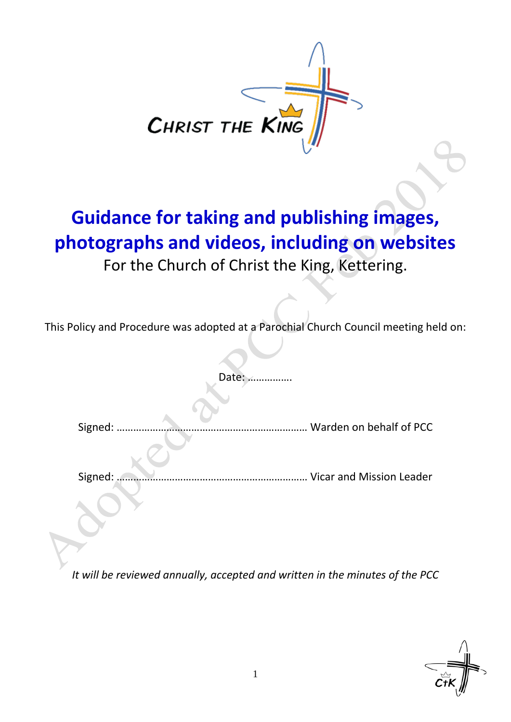

## **Guidance for taking and publishing images, photographs and videos, including on websites** For the Church of Christ the King, Kettering.

This Policy and Procedure was adopted at a Parochial Church Council meeting held on:

Date: ……

Signed: …………………………………………………………… Warden on behalf of PCC

Signed: …………………………………………………………… Vicar and Mission Leader

*It will be reviewed annually, accepted and written in the minutes of the PCC*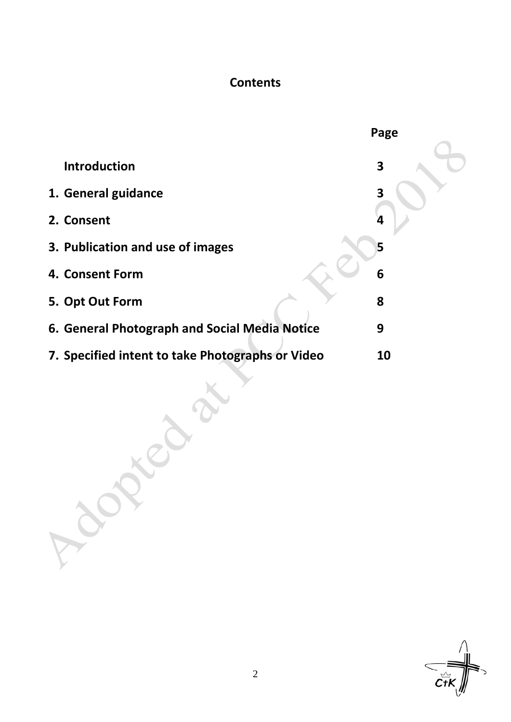### **Contents**

|                                                  | Page |
|--------------------------------------------------|------|
| <b>Introduction</b>                              | 3    |
| 1. General guidance                              | 3    |
| 2. Consent                                       | 4    |
| 3. Publication and use of images                 | 5    |
| 4. Consent Form                                  | 6    |
| 5. Opt Out Form                                  | 8    |
| 6. General Photograph and Social Media Notice    | 9    |
| 7. Specified intent to take Photographs or Video | 10   |
| Loc                                              |      |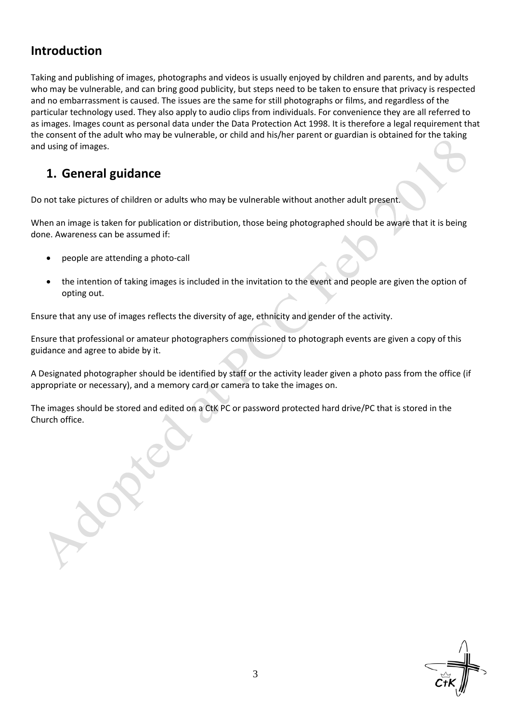### **Introduction**

Taking and publishing of images, photographs and videos is usually enjoyed by children and parents, and by adults who may be vulnerable, and can bring good publicity, but steps need to be taken to ensure that privacy is respected and no embarrassment is caused. The issues are the same for still photographs or films, and regardless of the particular technology used. They also apply to audio clips from individuals. For convenience they are all referred to as images. Images count as personal data under the Data Protection Act 1998. It is therefore a legal requirement that the consent of the adult who may be vulnerable, or child and his/her parent or guardian is obtained for the taking and using of images.

## **1. General guidance**

Do not take pictures of children or adults who may be vulnerable without another adult present.

When an image is taken for publication or distribution, those being photographed should be aware that it is being done. Awareness can be assumed if:

- people are attending a photo-call
- the intention of taking images is included in the invitation to the event and people are given the option of opting out.

Ensure that any use of images reflects the diversity of age, ethnicity and gender of the activity.

Ensure that professional or amateur photographers commissioned to photograph events are given a copy of this guidance and agree to abide by it.

A Designated photographer should be identified by staff or the activity leader given a photo pass from the office (if appropriate or necessary), and a memory card or camera to take the images on.

The images should be stored and edited on a CtK PC or password protected hard drive/PC that is stored in the Church office.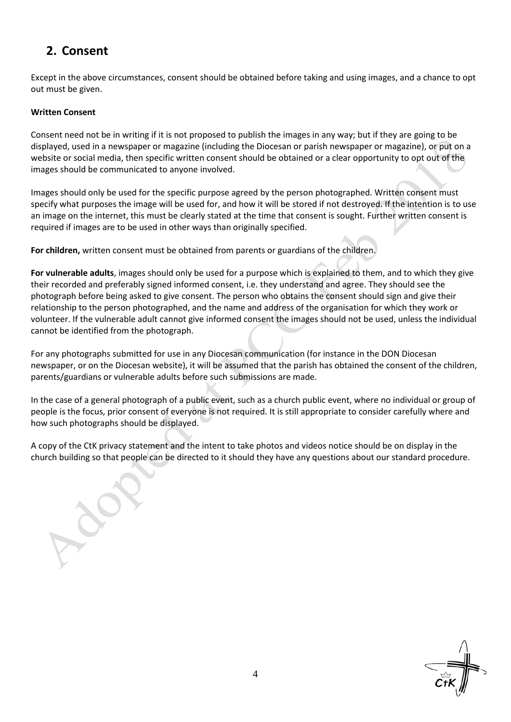## **2. Consent**

Except in the above circumstances, consent should be obtained before taking and using images, and a chance to opt out must be given.

#### **Written Consent**

Consent need not be in writing if it is not proposed to publish the images in any way; but if they are going to be displayed, used in a newspaper or magazine (including the Diocesan or parish newspaper or magazine), or put on a website or social media, then specific written consent should be obtained or a clear opportunity to opt out of the images should be communicated to anyone involved.

Images should only be used for the specific purpose agreed by the person photographed. Written consent must specify what purposes the image will be used for, and how it will be stored if not destroyed. If the intention is to use an image on the internet, this must be clearly stated at the time that consent is sought. Further written consent is required if images are to be used in other ways than originally specified.

**For children,** written consent must be obtained from parents or guardians of the children.

**For vulnerable adults**, images should only be used for a purpose which is explained to them, and to which they give their recorded and preferably signed informed consent, i.e. they understand and agree. They should see the photograph before being asked to give consent. The person who obtains the consent should sign and give their relationship to the person photographed, and the name and address of the organisation for which they work or volunteer. If the vulnerable adult cannot give informed consent the images should not be used, unless the individual cannot be identified from the photograph.

For any photographs submitted for use in any Diocesan communication (for instance in the DON Diocesan newspaper, or on the Diocesan website), it will be assumed that the parish has obtained the consent of the children, parents/guardians or vulnerable adults before such submissions are made.

In the case of a general photograph of a public event, such as a church public event, where no individual or group of people is the focus, prior consent of everyone is not required. It is still appropriate to consider carefully where and how such photographs should be displayed.

A copy of the CtK privacy statement and the intent to take photos and videos notice should be on display in the church building so that people can be directed to it should they have any questions about our standard procedure.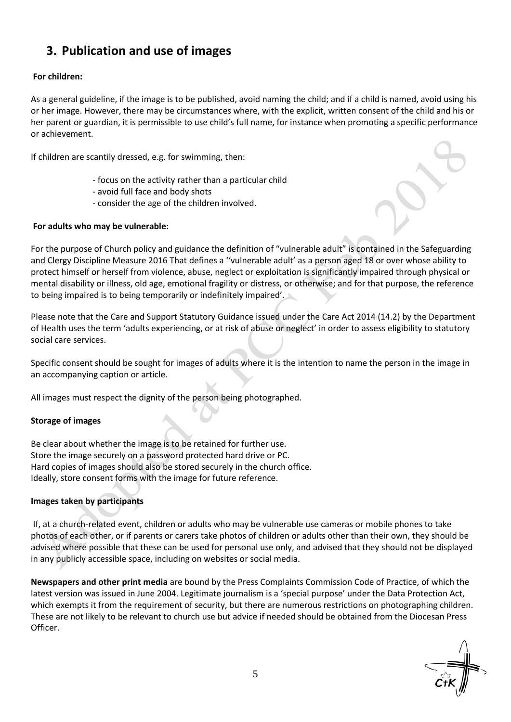## **3. Publication and use of images**

#### **For children:**

As a general guideline, if the image is to be published, avoid naming the child; and if a child is named, avoid using his or her image. However, there may be circumstances where, with the explicit, written consent of the child and his or her parent or guardian, it is permissible to use child's full name, for instance when promoting a specific performance or achievement.

If children are scantily dressed, e.g. for swimming, then:

- focus on the activity rather than a particular child
- avoid full face and body shots
- consider the age of the children involved.

#### **For adults who may be vulnerable:**

For the purpose of Church policy and guidance the definition of "vulnerable adult" is contained in the Safeguarding and Clergy Discipline Measure 2016 That defines a ''vulnerable adult' as a person aged 18 or over whose ability to protect himself or herself from violence, abuse, neglect or exploitation is significantly impaired through physical or mental disability or illness, old age, emotional fragility or distress, or otherwise; and for that purpose, the reference to being impaired is to being temporarily or indefinitely impaired'.

Please note that the Care and Support Statutory Guidance issued under the Care Act 2014 (14.2) by the Department of Health uses the term 'adults experiencing, or at risk of abuse or neglect' in order to assess eligibility to statutory social care services.

Specific consent should be sought for images of adults where it is the intention to name the person in the image in an accompanying caption or article.

All images must respect the dignity of the person being photographed.

#### **Storage of images**

Be clear about whether the image is to be retained for further use. Store the image securely on a password protected hard drive or PC. Hard copies of images should also be stored securely in the church office. Ideally, store consent forms with the image for future reference.

#### **Images taken by participants**

If, at a church-related event, children or adults who may be vulnerable use cameras or mobile phones to take photos of each other, or if parents or carers take photos of children or adults other than their own, they should be advised where possible that these can be used for personal use only, and advised that they should not be displayed in any publicly accessible space, including on websites or social media.

**Newspapers and other print media** are bound by the Press Complaints Commission Code of Practice, of which the latest version was issued in June 2004. Legitimate journalism is a 'special purpose' under the Data Protection Act, which exempts it from the requirement of security, but there are numerous restrictions on photographing children. These are not likely to be relevant to church use but advice if needed should be obtained from the Diocesan Press Officer.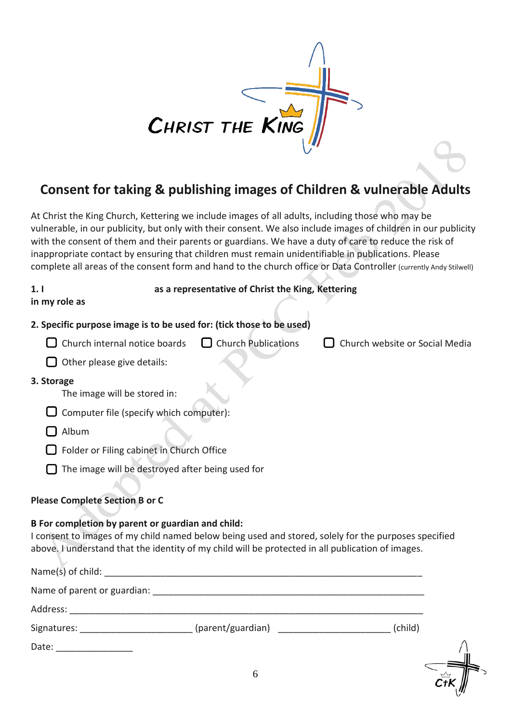

## **Consent for taking & publishing images of Children & vulnerable Adults**

At Christ the King Church, Kettering we include images of all adults, including those who may be vulnerable, in our publicity, but only with their consent. We also include images of children in our publicity with the consent of them and their parents or guardians. We have a duty of care to reduce the risk of inappropriate contact by ensuring that children must remain unidentifiable in publications. Please complete all areas of the consent form and hand to the church office or Data Controller (currently Andy Stilwell)

| 1.1<br>in my role as                                                                                                                                   | as a representative of Christ the King, Kettering        |                                                                                                      |
|--------------------------------------------------------------------------------------------------------------------------------------------------------|----------------------------------------------------------|------------------------------------------------------------------------------------------------------|
| 2. Specific purpose image is to be used for: (tick those to be used)                                                                                   |                                                          |                                                                                                      |
|                                                                                                                                                        | Church internal notice boards $\Box$ Church Publications | Church website or Social Media                                                                       |
| Other please give details:                                                                                                                             |                                                          |                                                                                                      |
| 3. Storage<br>The image will be stored in:                                                                                                             |                                                          |                                                                                                      |
| Computer file (specify which computer):                                                                                                                |                                                          |                                                                                                      |
| Album                                                                                                                                                  |                                                          |                                                                                                      |
| Folder or Filing cabinet in Church Office                                                                                                              |                                                          |                                                                                                      |
| The image will be destroyed after being used for                                                                                                       |                                                          |                                                                                                      |
| <b>Please Complete Section B or C</b>                                                                                                                  |                                                          |                                                                                                      |
| B For completion by parent or guardian and child:<br>above. I understand that the identity of my child will be protected in all publication of images. |                                                          | I consent to images of my child named below being used and stored, solely for the purposes specified |
|                                                                                                                                                        |                                                          |                                                                                                      |
| Address:                                                                                                                                               |                                                          |                                                                                                      |
| Signatures:                                                                                                                                            |                                                          | (child)                                                                                              |

Date:  $\_\_$ 

6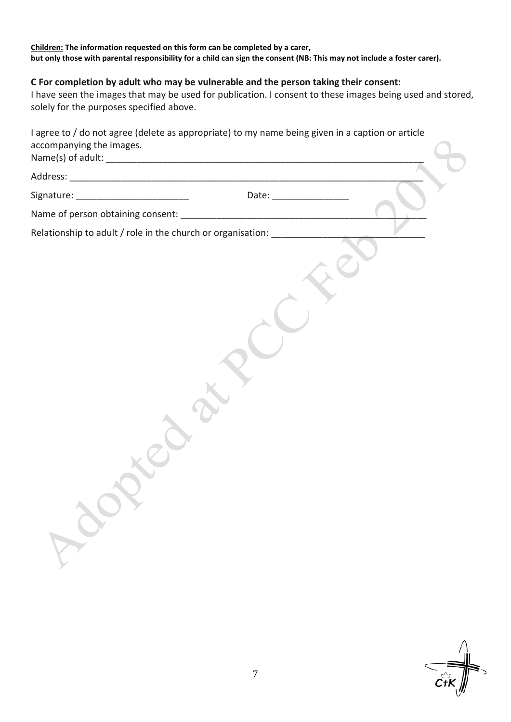#### **Children: The information requested on this form can be completed by a carer, but only those with parental responsibility for a child can sign the consent (NB: This may not include a foster carer).**

#### **C For completion by adult who may be vulnerable and the person taking their consent:**

I have seen the images that may be used for publication. I consent to these images being used and stored, solely for the purposes specified above.

| accompanying the images. |                                                                           |  |
|--------------------------|---------------------------------------------------------------------------|--|
|                          |                                                                           |  |
|                          |                                                                           |  |
|                          |                                                                           |  |
|                          | Relationship to adult / role in the church or organisation: _____________ |  |
|                          |                                                                           |  |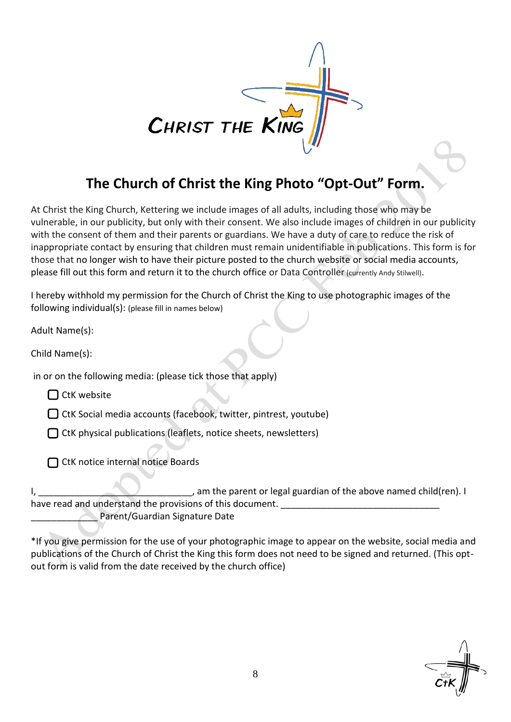

## **The Church of Christ the King Photo "Opt-Out" Form.**

At Christ the King Church, Kettering we include images of all adults, including those who may be vulnerable, in our publicity, but only with their consent. We also include images of children in our publicity with the consent of them and their parents or guardians. We have a duty of care to reduce the risk of inappropriate contact by ensuring that children must remain unidentifiable in publications. This form is for those that no longer wish to have their picture posted to the church website or social media accounts, please fill out this form and return it to the church office or Data Controller (currently Andy Stilwell).

I hereby withhold my permission for the Church of Christ the King to use photographic images of the following individual(s): (please fill in names below)

Adult Name(s):

Child Name(s):

in or on the following media: (please tick those that apply)

 $\Box$  CtK website

 $\Box$  CtK Social media accounts (facebook, twitter, pintrest, youtube)

 $\Box$  CtK physical publications (leaflets, notice sheets, newsletters)

□ CtK notice internal notice Boards

I, \_\_\_\_\_\_\_\_\_\_\_\_\_\_\_\_\_\_\_\_\_\_\_\_\_\_\_\_\_\_, am the parent or legal guardian of the above named child(ren). I have read and understand the provisions of this document. Parent/Guardian Signature Date

\*If you give permission for the use of your photographic image to appear on the website, social media and publications of the Church of Christ the King this form does not need to be signed and returned. (This optout form is valid from the date received by the church office)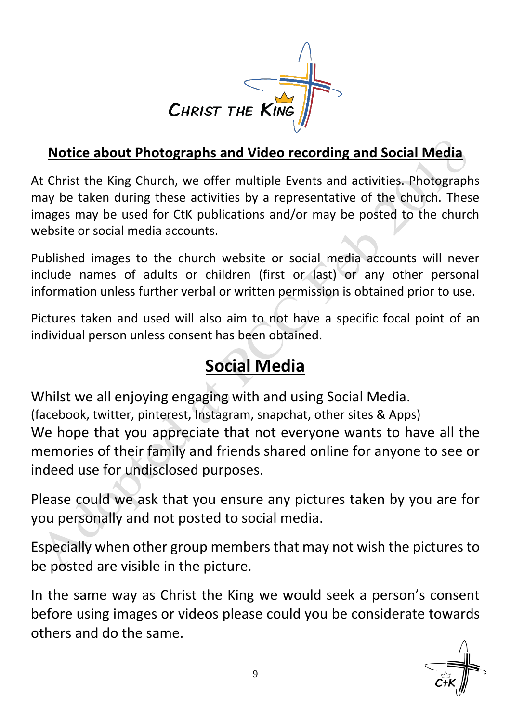

## **Notice about Photographs and Video recording and Social Media**

At Christ the King Church, we offer multiple Events and activities. Photographs may be taken during these activities by a representative of the church. These images may be used for CtK publications and/or may be posted to the church website or social media accounts.

Published images to the church website or social media accounts will never include names of adults or children (first or last) or any other personal information unless further verbal or written permission is obtained prior to use.

Pictures taken and used will also aim to not have a specific focal point of an individual person unless consent has been obtained.

## **Social Media**

Whilst we all enjoying engaging with and using Social Media. (facebook, twitter, pinterest, Instagram, snapchat, other sites & Apps) We hope that you appreciate that not everyone wants to have all the memories of their family and friends shared online for anyone to see or indeed use for undisclosed purposes.

Please could we ask that you ensure any pictures taken by you are for you personally and not posted to social media.

Especially when other group members that may not wish the pictures to be posted are visible in the picture.

In the same way as Christ the King we would seek a person's consent before using images or videos please could you be considerate towards others and do the same.